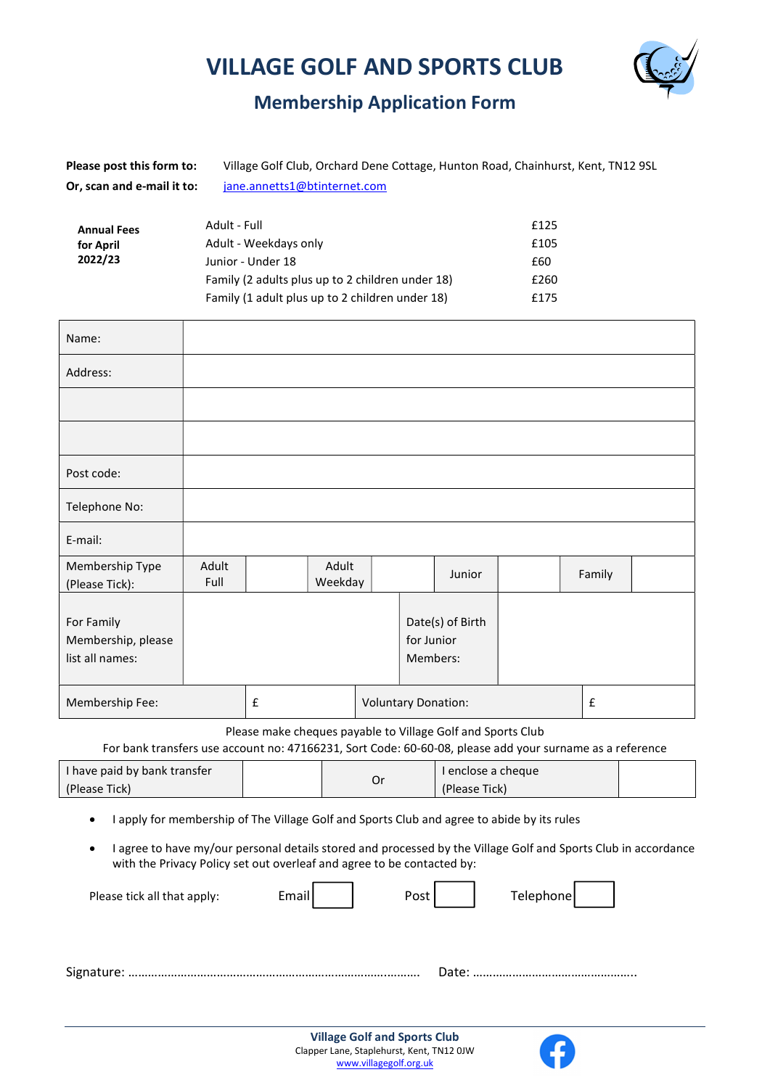# VILLAGE GOLF AND SPORTS CLUB



# Membership Application Form

| Please post this form to:  | Village Golf Club, Orchard Dene Cottage, Hunton Road, Chainhurst, Kent, TN12 9SL |
|----------------------------|----------------------------------------------------------------------------------|
| Or, scan and e-mail it to: | jane.annetts1@btinternet.com                                                     |

| <b>Annual Fees</b> | Adult - Full                                     | £125 |
|--------------------|--------------------------------------------------|------|
| for April          | Adult - Weekdays only                            | £105 |
| 2022/23            | Junior - Under 18                                | £60  |
|                    | Family (2 adults plus up to 2 children under 18) | £260 |
|                    | Family (1 adult plus up to 2 children under 18)  | £175 |

| Name:                                               |               |  |                  |                            |            |                              |   |        |  |
|-----------------------------------------------------|---------------|--|------------------|----------------------------|------------|------------------------------|---|--------|--|
| Address:                                            |               |  |                  |                            |            |                              |   |        |  |
|                                                     |               |  |                  |                            |            |                              |   |        |  |
|                                                     |               |  |                  |                            |            |                              |   |        |  |
| Post code:                                          |               |  |                  |                            |            |                              |   |        |  |
| Telephone No:                                       |               |  |                  |                            |            |                              |   |        |  |
| E-mail:                                             |               |  |                  |                            |            |                              |   |        |  |
| Membership Type<br>(Please Tick):                   | Adult<br>Full |  | Adult<br>Weekday |                            |            | Junior                       |   | Family |  |
| For Family<br>Membership, please<br>list all names: |               |  |                  |                            | for Junior | Date(s) of Birth<br>Members: |   |        |  |
| Membership Fee:                                     | £             |  |                  | <b>Voluntary Donation:</b> |            |                              | £ |        |  |

Please make cheques payable to Village Golf and Sports Club

For bank transfers use account no: 47166231, Sort Code: 60-60-08, please add your surname as a reference

| I have paid by bank transfer | Or | l enclose a cheque |  |
|------------------------------|----|--------------------|--|
| (Please Tick)                |    | (Please Tick)      |  |

- I apply for membership of The Village Golf and Sports Club and agree to abide by its rules
- I agree to have my/our personal details stored and processed by the Village Golf and Sports Club in accordance with the Privacy Policy set out overleaf and agree to be contacted by:

| Please tick all that apply: | Email | Post I |       | Telephone |
|-----------------------------|-------|--------|-------|-----------|
|                             |       |        | Date: |           |